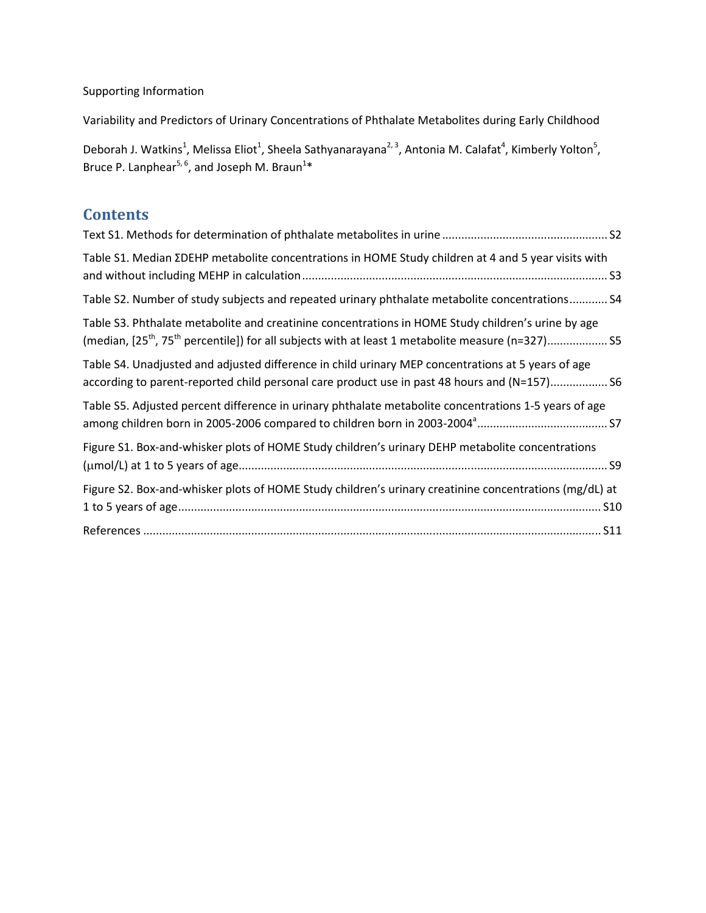## Supporting Information

Variability and Predictors of Urinary Concentrations of Phthalate Metabolites during Early Childhood

Deborah J. Watkins<sup>1</sup>, Melissa Eliot<sup>1</sup>, Sheela Sathyanarayana<sup>2, 3</sup>, Antonia M. Calafat<sup>4</sup>, Kimberly Yolton<sup>5</sup>, Bruce P. Lanphear<sup>5, 6</sup>, and Joseph M. Braun<sup>1\*</sup>

## **Contents**

| Table S1. Median ∑DEHP metabolite concentrations in HOME Study children at 4 and 5 year visits with                                                                                                           |
|---------------------------------------------------------------------------------------------------------------------------------------------------------------------------------------------------------------|
| Table S2. Number of study subjects and repeated urinary phthalate metabolite concentrations S4                                                                                                                |
| Table S3. Phthalate metabolite and creatinine concentrations in HOME Study children's urine by age<br>(median, $[25^{th}, 75^{th}$ percentile]) for all subjects with at least 1 metabolite measure (n=327)55 |
| Table S4. Unadjusted and adjusted difference in child urinary MEP concentrations at 5 years of age<br>according to parent-reported child personal care product use in past 48 hours and (N=157) S6            |
| Table S5. Adjusted percent difference in urinary phthalate metabolite concentrations 1-5 years of age                                                                                                         |
| Figure S1. Box-and-whisker plots of HOME Study children's urinary DEHP metabolite concentrations                                                                                                              |
| Figure S2. Box-and-whisker plots of HOME Study children's urinary creatinine concentrations (mg/dL) at                                                                                                        |
|                                                                                                                                                                                                               |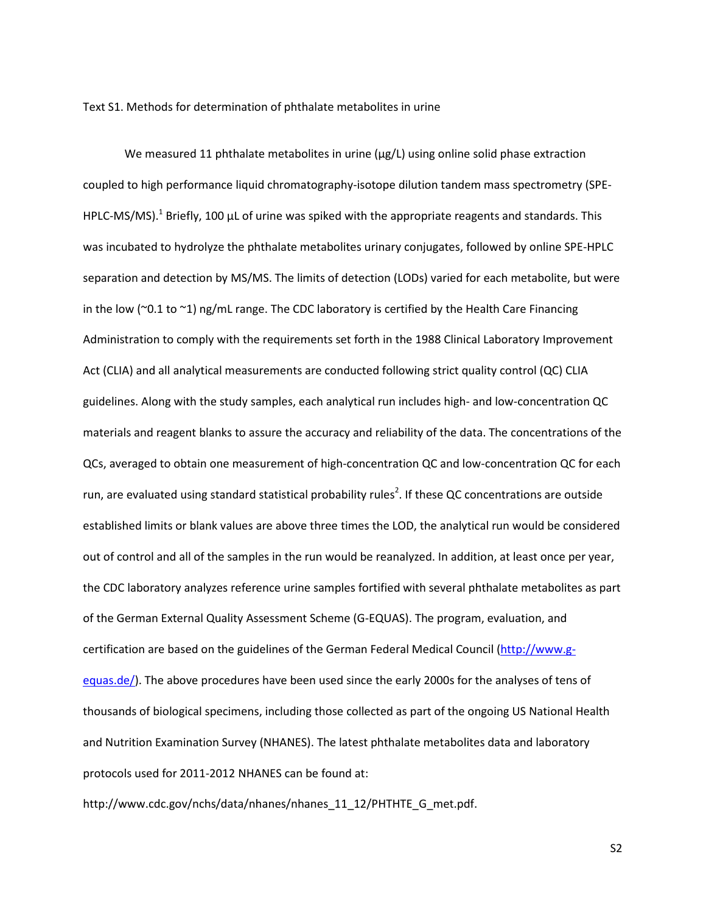Text S1. Methods for determination of phthalate metabolites in urine

We measured 11 phthalate metabolites in urine ( $\mu$ g/L) using online solid phase extraction coupled to high performance liquid chromatography-isotope dilution tandem mass spectrometry (SPE-HPLC-MS/MS).<sup>1</sup> Briefly, 100  $\mu$ L of urine was spiked with the appropriate reagents and standards. This was incubated to hydrolyze the phthalate metabolites urinary conjugates, followed by online SPE-HPLC separation and detection by MS/MS. The limits of detection (LODs) varied for each metabolite, but were in the low ( $\sim$ 0.1 to  $\sim$ 1) ng/mL range. The CDC laboratory is certified by the Health Care Financing Administration to comply with the requirements set forth in the 1988 Clinical Laboratory Improvement Act (CLIA) and all analytical measurements are conducted following strict quality control (QC) CLIA guidelines. Along with the study samples, each analytical run includes high- and low-concentration QC materials and reagent blanks to assure the accuracy and reliability of the data. The concentrations of the QCs, averaged to obtain one measurement of high-concentration QC and low-concentration QC for each run, are evaluated using standard statistical probability rules<sup>2</sup>. If these QC concentrations are outside established limits or blank values are above three times the LOD, the analytical run would be considered out of control and all of the samples in the run would be reanalyzed. In addition, at least once per year, the CDC laboratory analyzes reference urine samples fortified with several phthalate metabolites as part of the German External Quality Assessment Scheme (G-EQUAS). The program, evaluation, and certification are based on the guidelines of the German Federal Medical Council (http://www.gequas.de/). The above procedures have been used since the early 2000s for the analyses of tens of thousands of biological specimens, including those collected as part of the ongoing US National Health and Nutrition Examination Survey (NHANES). The latest phthalate metabolites data and laboratory protocols used for 2011-2012 NHANES can be found at:

http://www.cdc.gov/nchs/data/nhanes/nhanes\_11\_12/PHTHTE\_G\_met.pdf.

S2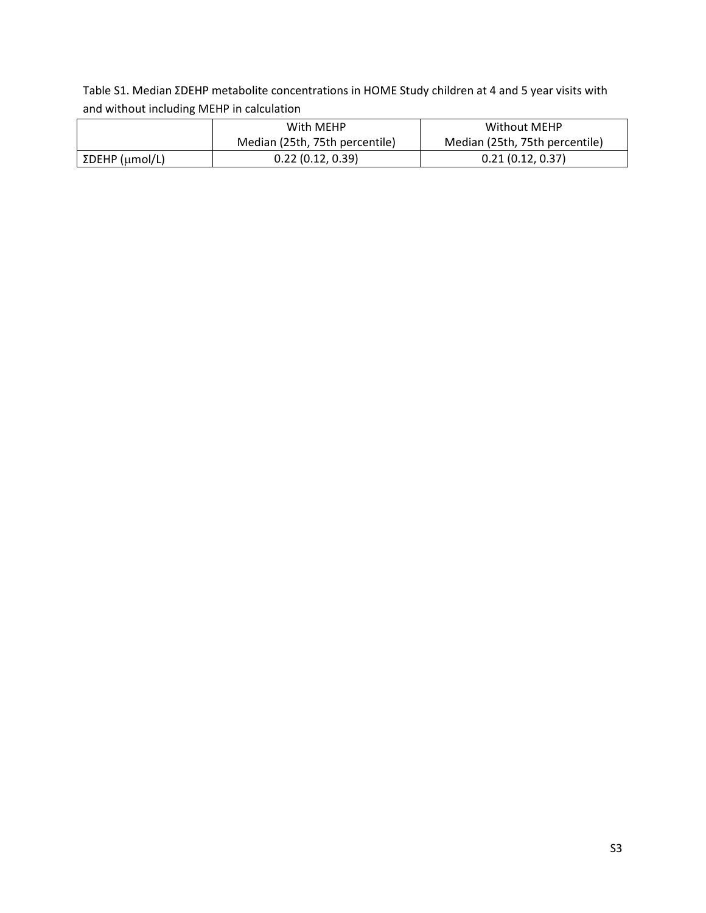Table S1. Median ΣDEHP metabolite concentrations in HOME Study children at 4 and 5 year visits with and without including MEHP in calculation

|                | With MEHP                      | Without MEHP                   |
|----------------|--------------------------------|--------------------------------|
|                | Median (25th, 75th percentile) | Median (25th, 75th percentile) |
| ΣDEHP (μmol/L) | 0.22(0.12, 0.39)               | 0.21(0.12, 0.37)               |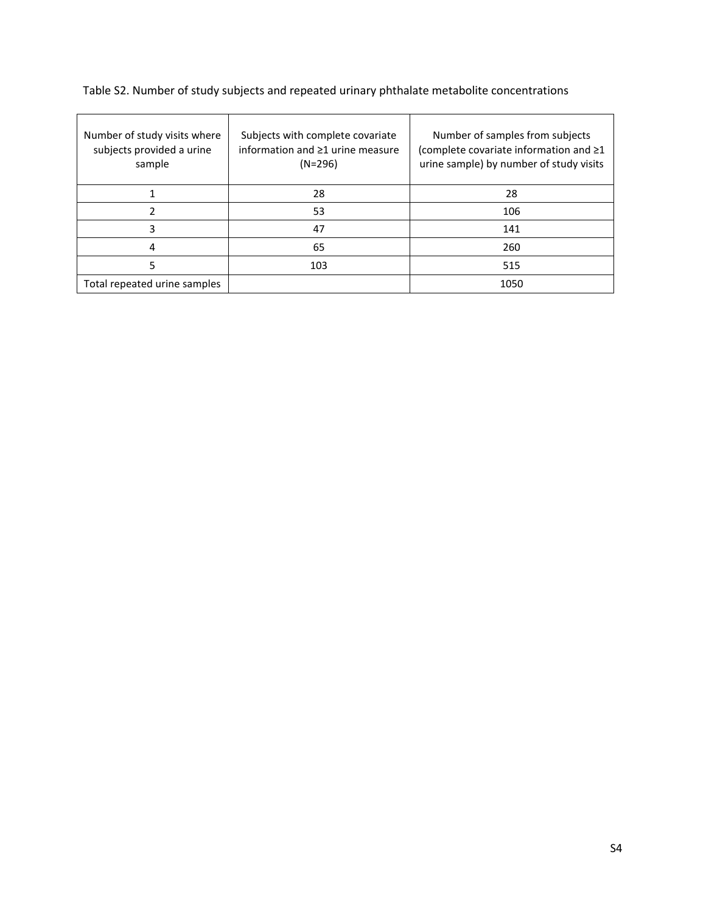| Number of study visits where<br>subjects provided a urine<br>sample | Subjects with complete covariate<br>information and ≥1 urine measure<br>$(N=296)$ | Number of samples from subjects<br>(complete covariate information and ≥1<br>urine sample) by number of study visits |
|---------------------------------------------------------------------|-----------------------------------------------------------------------------------|----------------------------------------------------------------------------------------------------------------------|
|                                                                     | 28                                                                                | 28                                                                                                                   |
|                                                                     | 53                                                                                | 106                                                                                                                  |
| 3                                                                   | 47                                                                                | 141                                                                                                                  |
| 4                                                                   | 65                                                                                | 260                                                                                                                  |
| 5                                                                   | 103                                                                               | 515                                                                                                                  |
| Total repeated urine samples                                        |                                                                                   | 1050                                                                                                                 |

Table S2. Number of study subjects and repeated urinary phthalate metabolite concentrations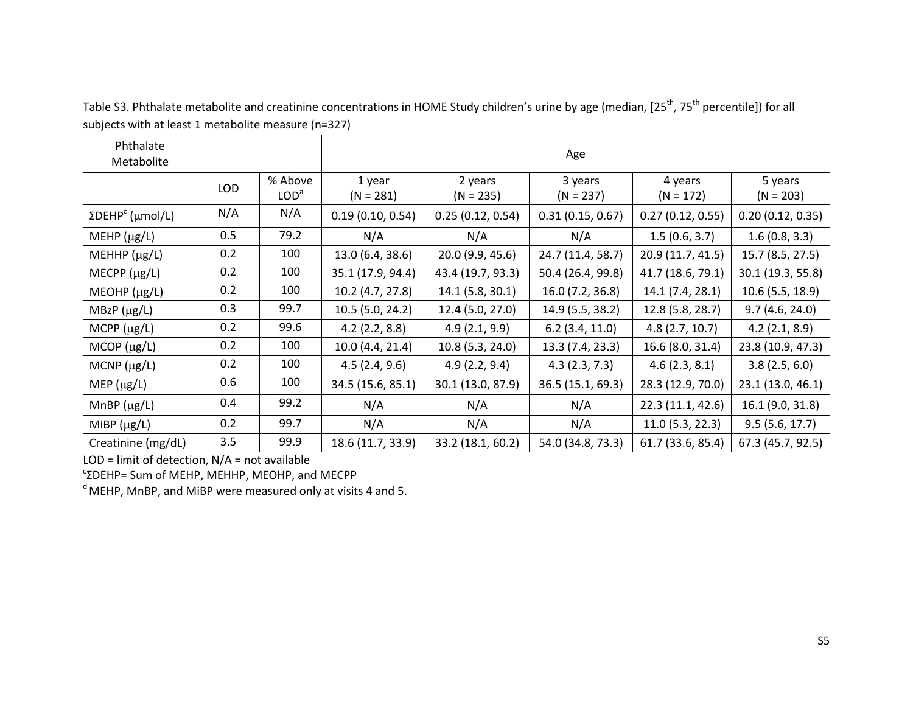| Phthalate<br>Metabolite             |            |                             | Age               |                   |                   |                   |                   |
|-------------------------------------|------------|-----------------------------|-------------------|-------------------|-------------------|-------------------|-------------------|
|                                     | <b>LOD</b> | % Above<br>LOD <sup>a</sup> | 1 year            | 2 years           | 3 years           | 4 years           | 5 years           |
|                                     |            |                             | $(N = 281)$       | $(N = 235)$       | $(N = 237)$       | $(N = 172)$       | $(N = 203)$       |
| $\Sigma$ DEHP <sup>c</sup> (μmol/L) | N/A        | N/A                         | 0.19(0.10, 0.54)  | 0.25(0.12, 0.54)  | 0.31(0.15, 0.67)  | 0.27(0.12, 0.55)  | 0.20(0.12, 0.35)  |
| MEHP (µg/L)                         | 0.5        | 79.2                        | N/A               | N/A               | N/A               | 1.5(0.6, 3.7)     | 1.6(0.8, 3.3)     |
| MEHHP (µg/L)                        | 0.2        | 100                         | 13.0 (6.4, 38.6)  | 20.0 (9.9, 45.6)  | 24.7 (11.4, 58.7) | 20.9 (11.7, 41.5) | 15.7 (8.5, 27.5)  |
| MECPP (µg/L)                        | 0.2        | 100                         | 35.1 (17.9, 94.4) | 43.4 (19.7, 93.3) | 50.4 (26.4, 99.8) | 41.7 (18.6, 79.1) | 30.1 (19.3, 55.8) |
| MEOHP (µg/L)                        | 0.2        | 100                         | 10.2 (4.7, 27.8)  | 14.1(5.8, 30.1)   | 16.0 (7.2, 36.8)  | 14.1 (7.4, 28.1)  | 10.6 (5.5, 18.9)  |
| $MBzP$ ( $\mu$ g/L)                 | 0.3        | 99.7                        | 10.5(5.0, 24.2)   | 12.4 (5.0, 27.0)  | 14.9 (5.5, 38.2)  | 12.8 (5.8, 28.7)  | 9.7(4.6, 24.0)    |
| MCPP $(\mu g/L)$                    | 0.2        | 99.6                        | 4.2(2.2, 8.8)     | 4.9(2.1, 9.9)     | $6.2$ (3.4, 11.0) | 4.8(2.7, 10.7)    | 4.2(2.1, 8.9)     |
| MCOP (µg/L)                         | 0.2        | 100                         | 10.0(4.4, 21.4)   | 10.8 (5.3, 24.0)  | 13.3 (7.4, 23.3)  | 16.6 (8.0, 31.4)  | 23.8 (10.9, 47.3) |
| MCNP $(\mu g/L)$                    | 0.2        | 100                         | 4.5(2.4, 9.6)     | 4.9(2.2, 9.4)     | 4.3(2.3, 7.3)     | 4.6(2.3, 8.1)     | 3.8(2.5, 6.0)     |
| $MEP$ ( $\mu$ g/L)                  | 0.6        | 100                         | 34.5 (15.6, 85.1) | 30.1 (13.0, 87.9) | 36.5 (15.1, 69.3) | 28.3 (12.9, 70.0) | 23.1 (13.0, 46.1) |
| MnBP $(\mu g/L)$                    | 0.4        | 99.2                        | N/A               | N/A               | N/A               | 22.3 (11.1, 42.6) | 16.1 (9.0, 31.8)  |
| MiBP $(\mu g/L)$                    | 0.2        | 99.7                        | N/A               | N/A               | N/A               | 11.0(5.3, 22.3)   | 9.5(5.6, 17.7)    |
| Creatinine (mg/dL)                  | 3.5        | 99.9                        | 18.6 (11.7, 33.9) | 33.2 (18.1, 60.2) | 54.0 (34.8, 73.3) | 61.7 (33.6, 85.4) | 67.3 (45.7, 92.5) |

Table S3. Phthalate metabolite and creatinine concentrations in HOME Study children's urine by age (median, [25<sup>th</sup>, 75<sup>th</sup> percentile]) for all subjects with at least 1 metabolite measure (n=327)

 $LOD =$  limit of detection,  $N/A =$  not available

<sup>c</sup>ΣDEHP= Sum of MEHP, MEHHP, MEOHP, and MECPP

 $d$  MEHP, MnBP, and MiBP were measured only at visits 4 and 5.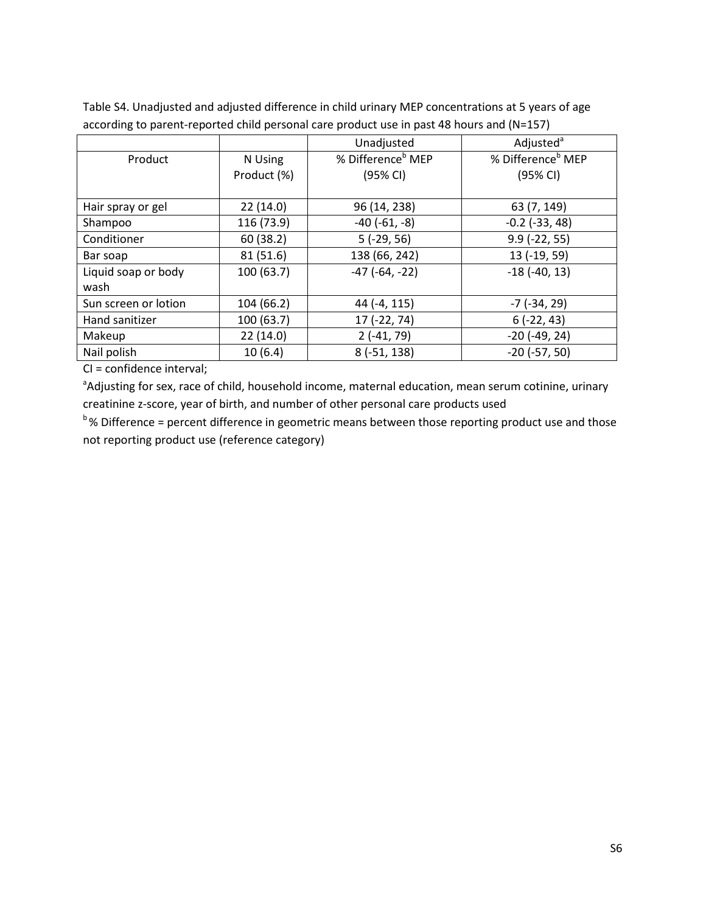Table S4. Unadjusted and adjusted difference in child urinary MEP concentrations at 5 years of age according to parent-reported child personal care product use in past 48 hours and (N=157)

|                      |             | Unadjusted                    | Adjusted <sup>a</sup>         |
|----------------------|-------------|-------------------------------|-------------------------------|
| Product              | N Using     | % Difference <sup>b</sup> MEP | % Difference <sup>b</sup> MEP |
|                      | Product (%) | (95% CI)                      | (95% CI)                      |
|                      |             |                               |                               |
| Hair spray or gel    | 22(14.0)    | 96 (14, 238)                  | 63 (7, 149)                   |
| Shampoo              | 116 (73.9)  | $-40$ ( $-61$ , $-8$ )        | $-0.2$ ( $-33, 48$ )          |
| Conditioner          | 60 (38.2)   | $5(-29, 56)$                  | $9.9$ ( $-22, 55$ )           |
| Bar soap             | 81 (51.6)   | 138 (66, 242)                 | 13 (-19, 59)                  |
| Liquid soap or body  | 100 (63.7)  | $-47$ ( $-64$ , $-22$ )       | $-18(-40, 13)$                |
| wash                 |             |                               |                               |
| Sun screen or lotion | 104 (66.2)  | 44 (-4, 115)                  | -7 (-34, 29)                  |
| Hand sanitizer       | 100 (63.7)  | 17 (-22, 74)                  | $6(-22, 43)$                  |
| Makeup               | 22(14.0)    | $2(-41, 79)$                  | $-20$ ( $-49$ , 24)           |
| Nail polish          | 10(6.4)     | $8(-51, 138)$                 | $-20$ ( $-57, 50$ )           |

CI = confidence interval;

<sup>a</sup>Adjusting for sex, race of child, household income, maternal education, mean serum cotinine, urinary creatinine z-score, year of birth, and number of other personal care products used

<sup>b</sup>% Difference = percent difference in geometric means between those reporting product use and those not reporting product use (reference category)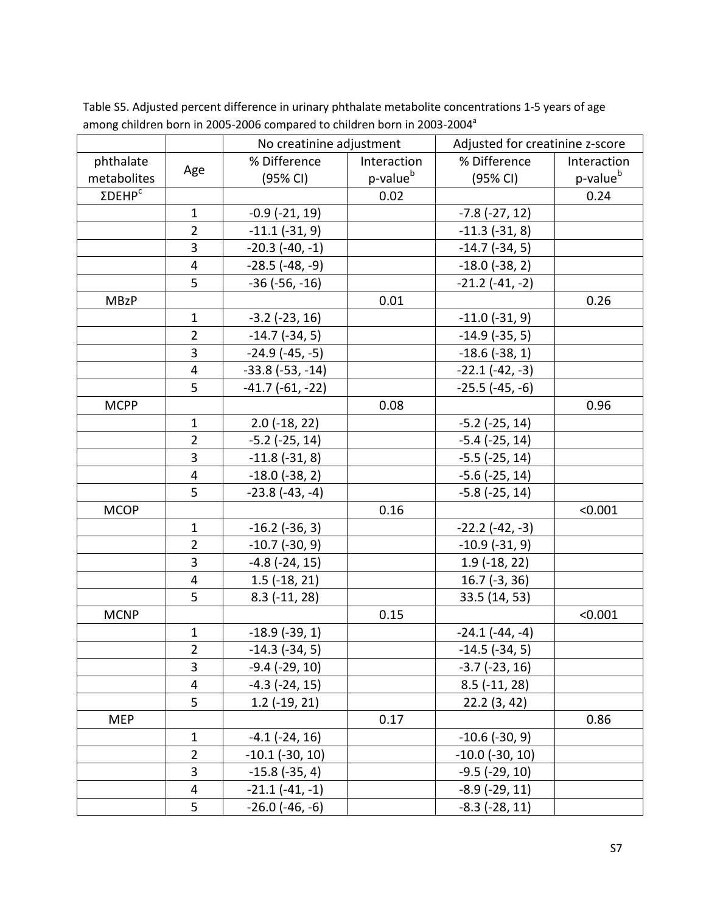|                            |                         | No creatinine adjustment |                      | Adjusted for creatinine z-score |                      |  |
|----------------------------|-------------------------|--------------------------|----------------------|---------------------------------|----------------------|--|
| phthalate                  |                         | % Difference             | Interaction          | % Difference                    | Interaction          |  |
| metabolites                | Age                     | (95% CI)                 | p-value <sup>b</sup> | (95% CI)                        | p-value <sup>b</sup> |  |
| $\Sigma$ DEHP <sup>c</sup> |                         |                          | 0.02                 |                                 | 0.24                 |  |
|                            | $\mathbf{1}$            | $-0.9$ $(-21, 19)$       |                      | $-7.8$ $(-27, 12)$              |                      |  |
|                            | $\overline{2}$          | $-11.1(-31, 9)$          |                      | $-11.3(-31, 8)$                 |                      |  |
|                            | 3                       | $-20.3(-40,-1)$          |                      | $-14.7$ $(-34, 5)$              |                      |  |
|                            | 4                       | $-28.5(-48,-9)$          |                      | $-18.0$ ( $-38, 2$ )            |                      |  |
|                            | 5                       | $-36$ ( $-56$ , $-16$ )  |                      | $-21.2$ $(-41, -2)$             |                      |  |
| <b>MBzP</b>                |                         |                          | 0.01                 |                                 | 0.26                 |  |
|                            | $\mathbf{1}$            | $-3.2$ ( $-23, 16$ )     |                      | $-11.0$ $(-31, 9)$              |                      |  |
|                            | $\overline{2}$          | $-14.7$ $(-34, 5)$       |                      | $-14.9$ $(-35, 5)$              |                      |  |
|                            | 3                       | $-24.9(-45,-5)$          |                      | $-18.6(-38, 1)$                 |                      |  |
|                            | $\overline{4}$          | $-33.8(-53,-14)$         |                      | $-22.1(-42,-3)$                 |                      |  |
|                            | 5                       | $-41.7(-61,-22)$         |                      | $-25.5$ ( $-45, -6$ )           |                      |  |
| <b>MCPP</b>                |                         |                          | 0.08                 |                                 | 0.96                 |  |
|                            | $\mathbf 1$             | $2.0$ (-18, 22)          |                      | $-5.2$ ( $-25, 14$ )            |                      |  |
|                            | $\overline{2}$          | $-5.2$ $(-25, 14)$       |                      | $-5.4$ ( $-25, 14$ )            |                      |  |
|                            | 3                       | $-11.8(-31, 8)$          |                      | $-5.5$ ( $-25, 14$ )            |                      |  |
|                            | $\overline{4}$          | $-18.0$ $(-38, 2)$       |                      | $-5.6$ ( $-25, 14$ )            |                      |  |
|                            | 5                       | $-23.8(-43,-4)$          |                      | $-5.8$ ( $-25, 14$ )            |                      |  |
| <b>MCOP</b>                |                         |                          | 0.16                 |                                 | < 0.001              |  |
|                            | $\mathbf{1}$            | $-16.2$ ( $-36, 3$ )     |                      | $-22.2(-42,-3)$                 |                      |  |
|                            | $\overline{2}$          | $-10.7$ $(-30, 9)$       |                      | $-10.9$ $(-31, 9)$              |                      |  |
|                            | 3                       | $-4.8$ $(-24, 15)$       |                      | $1.9(-18, 22)$                  |                      |  |
|                            | $\overline{4}$          | $1.5$ ( $-18$ , 21)      |                      | $16.7$ (-3, 36)                 |                      |  |
|                            | 5                       | $8.3(-11, 28)$           |                      | 33.5 (14, 53)                   |                      |  |
| <b>MCNP</b>                |                         |                          | 0.15                 |                                 | < 0.001              |  |
|                            | $\mathbf{1}$            | $-18.9(-39, 1)$          |                      | $-24.1(-44,-4)$                 |                      |  |
|                            | $\overline{c}$          | $-14.3$ $(-34, 5)$       |                      | $-14.5(-34, 5)$                 |                      |  |
|                            | 3                       | $-9.4$ ( $-29, 10$ )     |                      | $-3.7$ $(-23, 16)$              |                      |  |
|                            | $\overline{4}$          | $-4.3$ $(-24, 15)$       |                      | $8.5$ ( $-11, 28$ )             |                      |  |
|                            | 5                       | $1.2$ ( $-19, 21$ )      |                      | 22.2(3, 42)                     |                      |  |
| MEP                        |                         |                          | 0.17                 |                                 | 0.86                 |  |
|                            | $\mathbf{1}$            | $-4.1$ ( $-24, 16$ )     |                      | $-10.6(-30, 9)$                 |                      |  |
|                            | $\overline{2}$          | $-10.1$ $(-30, 10)$      |                      | $-10.0$ ( $-30, 10$ )           |                      |  |
|                            | 3                       | $-15.8(-35, 4)$          |                      | $-9.5$ ( $-29, 10$ )            |                      |  |
|                            | $\overline{\mathbf{4}}$ | $-21.1(-41,-1)$          |                      | $-8.9$ $(-29, 11)$              |                      |  |
|                            | 5                       | $-26.0$ ( $-46, -6$ )    |                      | $-8.3$ $(-28, 11)$              |                      |  |
|                            |                         |                          |                      |                                 |                      |  |

Table S5. Adjusted percent difference in urinary phthalate metabolite concentrations 1-5 years of age among children born in 2005-2006 compared to children born in 2003-2004 $^a$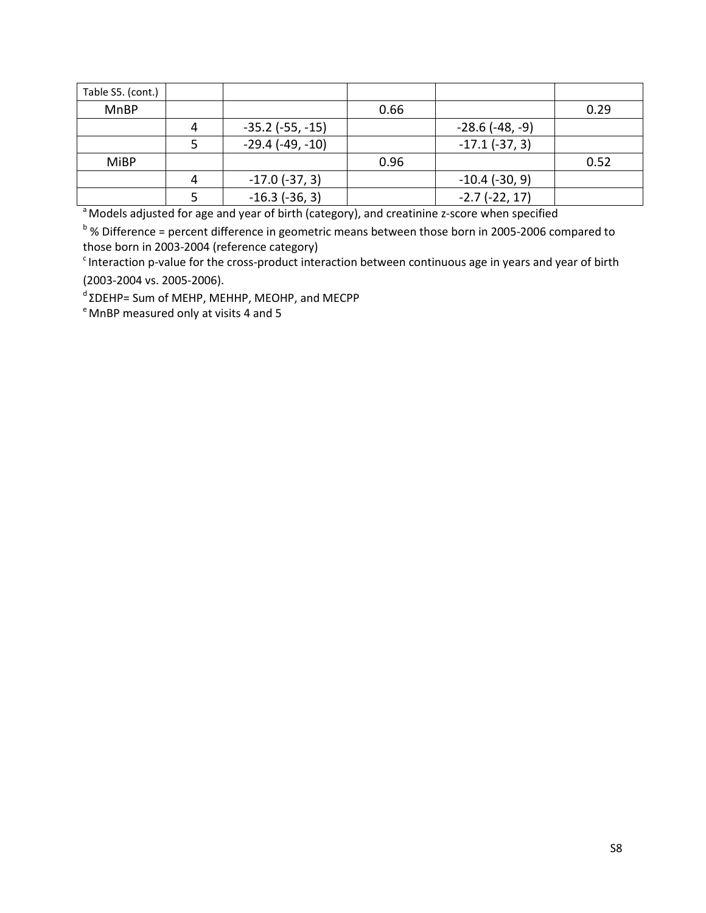| Table S5. (cont.) |                        |      |                      |      |
|-------------------|------------------------|------|----------------------|------|
| MnBP              |                        | 0.66 |                      | 0.29 |
|                   | $-35.2$ ( $-55, -15$ ) |      | $-28.6(-48,-9)$      |      |
|                   | $-29.4(-49,-10)$       |      | $-17.1$ $(-37, 3)$   |      |
| <b>MiBP</b>       |                        | 0.96 |                      | 0.52 |
|                   | $-17.0$ ( $-37, 3$ )   |      | $-10.4$ ( $-30, 9$ ) |      |
|                   | $-16.3$ ( $-36, 3$ )   |      | $-2.7(-22, 17)$      |      |

<sup>a</sup> Models adjusted for age and year of birth (category), and creatinine z-score when specified

<sup>b</sup>% Difference = percent difference in geometric means between those born in 2005-2006 compared to those born in 2003-2004 (reference category)

 $c$ Interaction p-value for the cross-product interaction between continuous age in years and year of birth (2003-2004 vs. 2005-2006).

<sup>d</sup> ΣDEHP= Sum of MEHP, MEHHP, MEOHP, and MECPP

 $e^{e}$  MnBP measured only at visits 4 and 5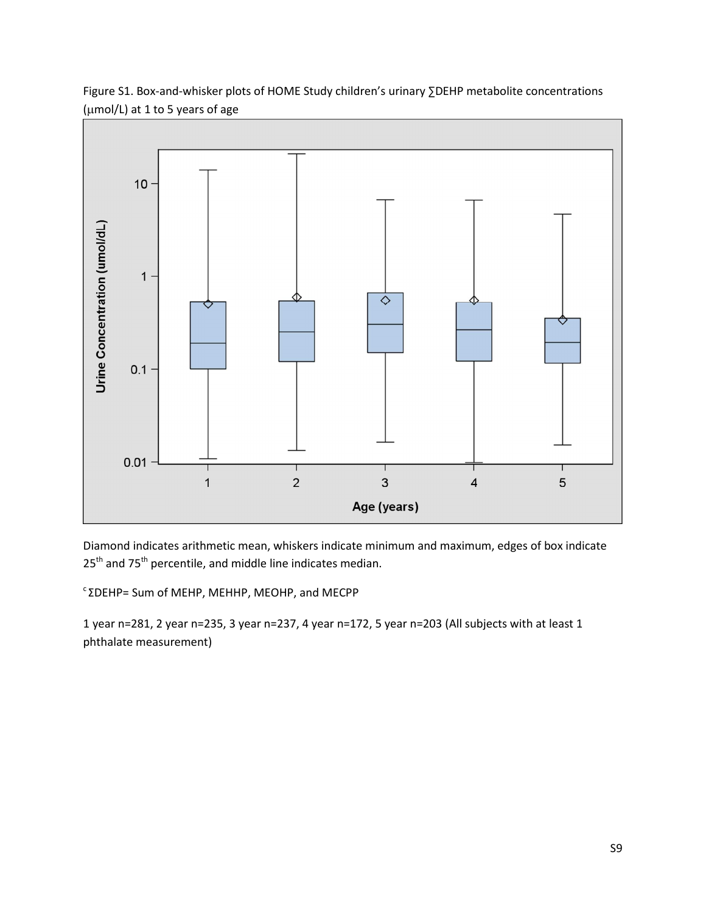



Diamond indicates arithmetic mean, whiskers indicate minimum and maximum, edges of box indicate 25<sup>th</sup> and 75<sup>th</sup> percentile, and middle line indicates median.

<sup>c</sup>ΣDEHP= Sum of MEHP, MEHHP, MEOHP, and MECPP

1 year n=281, 2 year n=235, 3 year n=237, 4 year n=172, 5 year n=203 (All subjects with at least 1 phthalate measurement)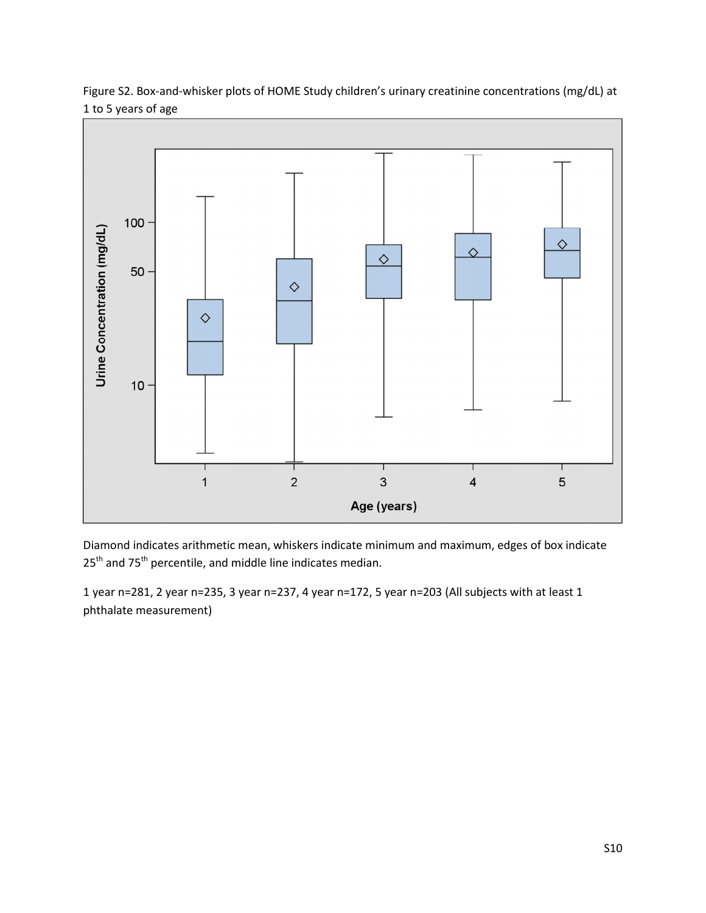

Figure S2. Box-and-whisker plots of HOME Study children's urinary creatinine concentrations (mg/dL) at 1 to 5 years of age

Diamond indicates arithmetic mean, whiskers indicate minimum and maximum, edges of box indicate  $25<sup>th</sup>$  and 75<sup>th</sup> percentile, and middle line indicates median.

1 year n=281, 2 year n=235, 3 year n=237, 4 year n=172, 5 year n=203 (All subjects with at least 1 phthalate measurement)